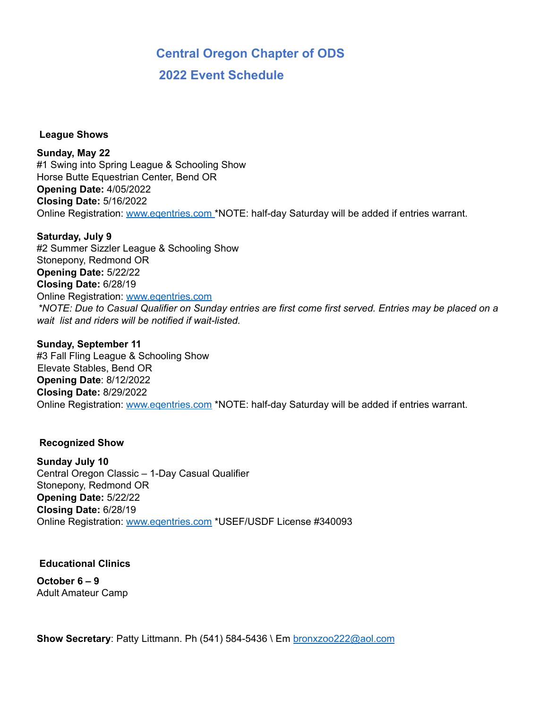## **Central Oregon Chapter of ODS 2022 Event Schedule**

**League Shows**

**Sunday, May 22** #1 Swing into Spring League & Schooling Show Horse Butte Equestrian Center, Bend OR **Opening Date:** 4/05/2022 **Closing Date:** 5/16/2022 Online Registration: www.eqentries.com \*NOTE: half-day Saturday will be added if entries warrant.

**Saturday, July 9** #2 Summer Sizzler League & Schooling Show Stonepony, Redmond OR **Opening Date:** 5/22/22 **Closing Date:** 6/28/19 Online Registration: www.eqentries.com \*NOTE: Due to Casual Qualifier on Sunday entries are first come first served. Entries may be placed on a *wait list and riders will be notified if wait-listed.*

**Sunday, September 11** #3 Fall Fling League & Schooling Show Elevate Stables, Bend OR **Opening Date**: 8/12/2022 **Closing Date:** 8/29/2022 Online Registration: www.eqentries.com \*NOTE: half-day Saturday will be added if entries warrant.

## **Recognized Show**

**Sunday July 10** Central Oregon Classic – 1-Day Casual Qualifier Stonepony, Redmond OR **Opening Date:** 5/22/22 **Closing Date:** 6/28/19 Online Registration: www.eqentries.com \*USEF/USDF License #340093

**Educational Clinics**

**October 6 – 9** Adult Amateur Camp

**Show Secretary**: Patty Littmann. Ph (541) 584-5436 \ Em bronxzoo222@aol.com